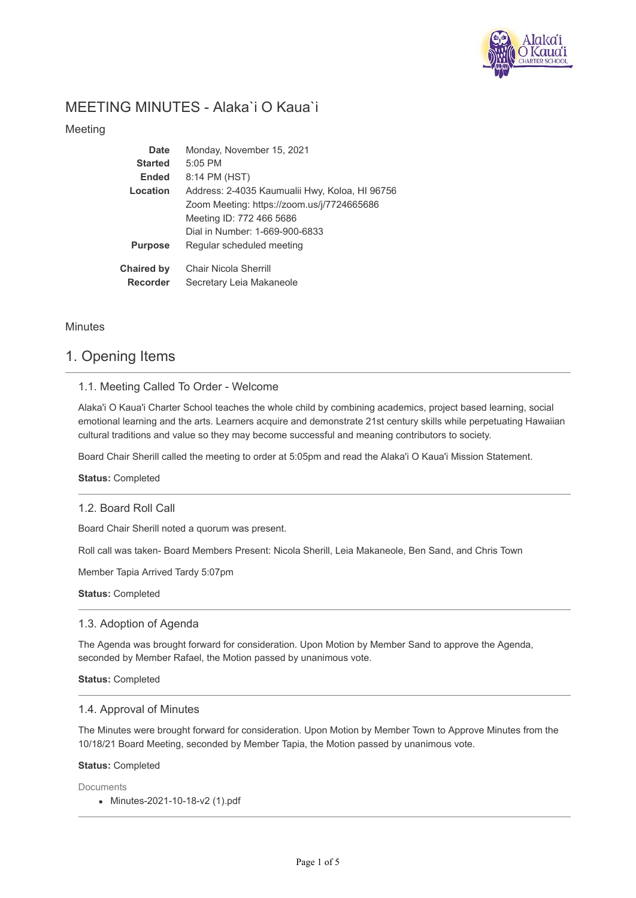

# MEETING MINUTES - Alaka`i O Kaua`i

Meeting

| Date              | Monday, November 15, 2021                      |
|-------------------|------------------------------------------------|
| <b>Started</b>    | $5:05$ PM                                      |
| <b>Ended</b>      | 8:14 PM (HST)                                  |
| Location          | Address: 2-4035 Kaumualii Hwy, Koloa, HI 96756 |
|                   | Zoom Meeting: https://zoom.us/j/7724665686     |
|                   | Meeting ID: 772 466 5686                       |
|                   | Dial in Number: 1-669-900-6833                 |
| <b>Purpose</b>    | Regular scheduled meeting                      |
| <b>Chaired by</b> | <b>Chair Nicola Sherrill</b>                   |
| <b>Recorder</b>   | Secretary Leia Makaneole                       |

Minutes

# 1. Opening Items

## 1.1. Meeting Called To Order - Welcome

Alaka'i O Kaua'i Charter School teaches the whole child by combining academics, project based learning, social emotional learning and the arts. Learners acquire and demonstrate 21st century skills while perpetuating Hawaiian cultural traditions and value so they may become successful and meaning contributors to society.

Board Chair Sherill called the meeting to order at 5:05pm and read the Alaka'i O Kaua'i Mission Statement.

**Status:** Completed

### 1.2. Board Roll Call

Board Chair Sherill noted a quorum was present.

Roll call was taken- Board Members Present: Nicola Sherill, Leia Makaneole, Ben Sand, and Chris Town

Member Tapia Arrived Tardy 5:07pm

**Status:** Completed

### 1.3. Adoption of Agenda

The Agenda was brought forward for consideration. Upon Motion by Member Sand to approve the Agenda, seconded by Member Rafael, the Motion passed by unanimous vote.

**Status:** Completed

#### 1.4. Approval of Minutes

The Minutes were brought forward for consideration. Upon Motion by Member Town to Approve Minutes from the 10/18/21 Board Meeting, seconded by Member Tapia, the Motion passed by unanimous vote.

#### **Status:** Completed

**Documents** 

Minutes-2021-10-18-v2 (1).pdf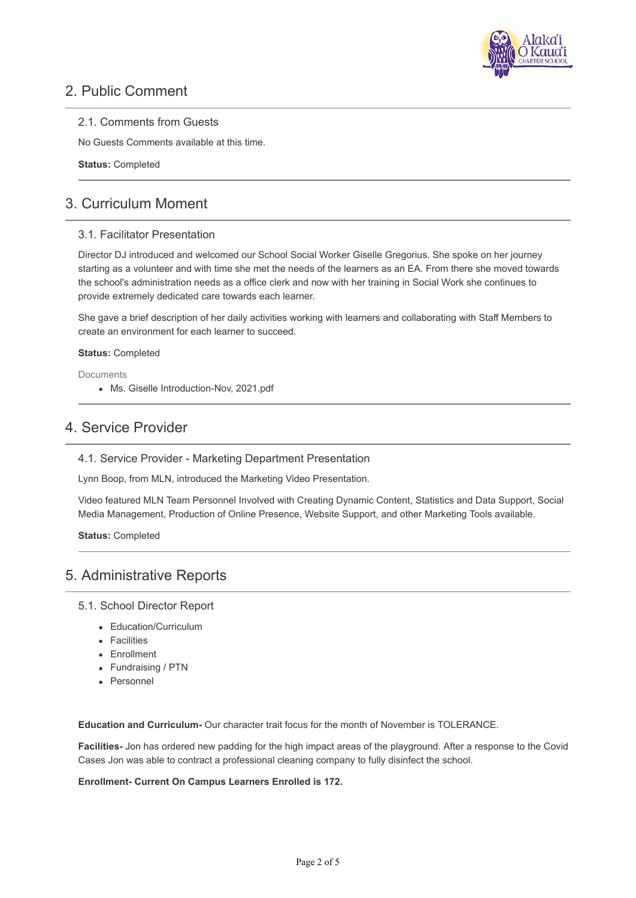

# 2. Public Comment

### 2.1. Comments from Guests

No Guests Comments available at this time.

**Status:** Completed

# 3. Curriculum Moment

### 3.1. Facilitator Presentation

Director DJ introduced and welcomed our School Social Worker Giselle Gregorius. She spoke on her journey starting as a volunteer and with time she met the needs of the learners as an EA. From there she moved towards the school's administration needs as a office clerk and now with her training in Social Work she continues to provide extremely dedicated care towards each learner.

She gave a brief description of her daily activities working with learners and collaborating with Staff Members to create an environment for each learner to succeed.

#### **Status:** Completed

**Documents** 

Ms. Giselle Introduction-Nov, 2021.pdf

## 4. Service Provider

4.1. Service Provider - Marketing Department Presentation

Lynn Boop, from MLN, introduced the Marketing Video Presentation.

Video featured MLN Team Personnel Involved with Creating Dynamic Content, Statistics and Data Support, Social Media Management, Production of Online Presence, Website Support, and other Marketing Tools available.

**Status:** Completed

# 5. Administrative Reports

#### 5.1. School Director Report

- Education/Curriculum
- Facilities
- Enrollment
- Fundraising / PTN
- Personnel

**Education and Curriculum-** Our character trait focus for the month of November is TOLERANCE.

**Facilities-** Jon has ordered new padding for the high impact areas of the playground. After a response to the Covid Cases Jon was able to contract a professional cleaning company to fully disinfect the school.

#### **Enrollment- Current On Campus Learners Enrolled is 172.**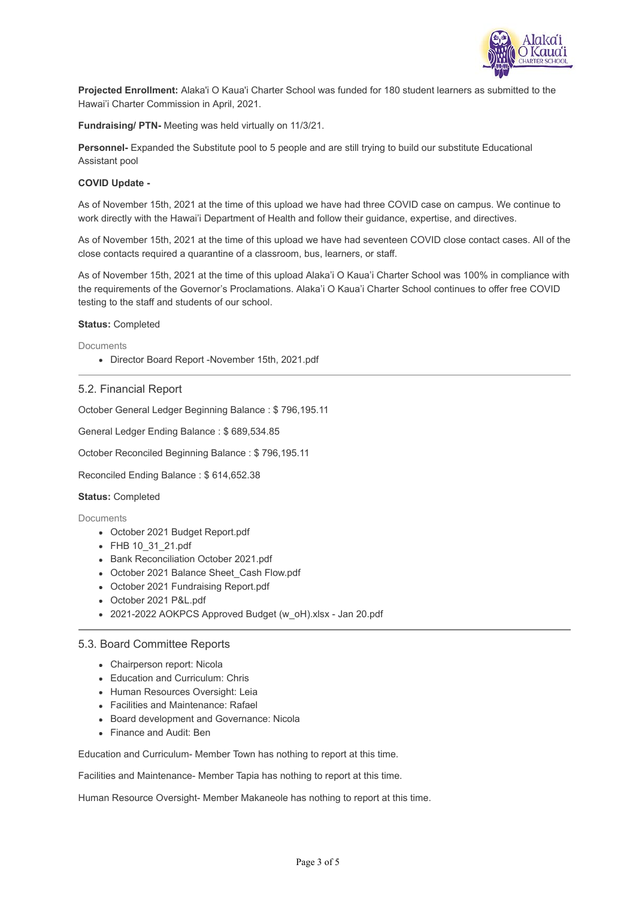

**Projected Enrollment:** Alaka'i O Kaua'i Charter School was funded for 180 student learners as submitted to the Hawai'i Charter Commission in April, 2021.

**Fundraising/ PTN-** Meeting was held virtually on 11/3/21.

**Personnel-** Expanded the Substitute pool to 5 people and are still trying to build our substitute Educational Assistant pool

#### **COVID Update -**

As of November 15th, 2021 at the time of this upload we have had three COVID case on campus. We continue to work directly with the Hawai'i Department of Health and follow their guidance, expertise, and directives.

As of November 15th, 2021 at the time of this upload we have had seventeen COVID close contact cases. All of the close contacts required a quarantine of a classroom, bus, learners, or staff.

As of November 15th, 2021 at the time of this upload Alaka'i O Kaua'i Charter School was 100% in compliance with the requirements of the Governor's Proclamations. Alaka'i O Kaua'i Charter School continues to offer free COVID testing to the staff and students of our school.

**Status:** Completed

**Documents** 

Director Board Report -November 15th, 2021.pdf

#### 5.2. Financial Report

October General Ledger Beginning Balance : \$ 796,195.11

General Ledger Ending Balance : \$ 689,534.85

October Reconciled Beginning Balance : \$ 796,195.11

Reconciled Ending Balance : \$ 614,652.38

#### **Status:** Completed

Documents

- October 2021 Budget Report.pdf
- FHB 10\_31\_21.pdf
- Bank Reconciliation October 2021.pdf
- October 2021 Balance Sheet\_Cash Flow.pdf
- October 2021 Fundraising Report.pdf
- October 2021 P&L.pdf
- 2021-2022 AOKPCS Approved Budget (w\_oH).xlsx Jan 20.pdf

#### 5.3. Board Committee Reports

- Chairperson report: Nicola
- Education and Curriculum: Chris
- Human Resources Oversight: Leia
- Facilities and Maintenance: Rafael
- Board development and Governance: Nicola
- Finance and Audit: Ben

Education and Curriculum- Member Town has nothing to report at this time.

Facilities and Maintenance- Member Tapia has nothing to report at this time.

Human Resource Oversight- Member Makaneole has nothing to report at this time.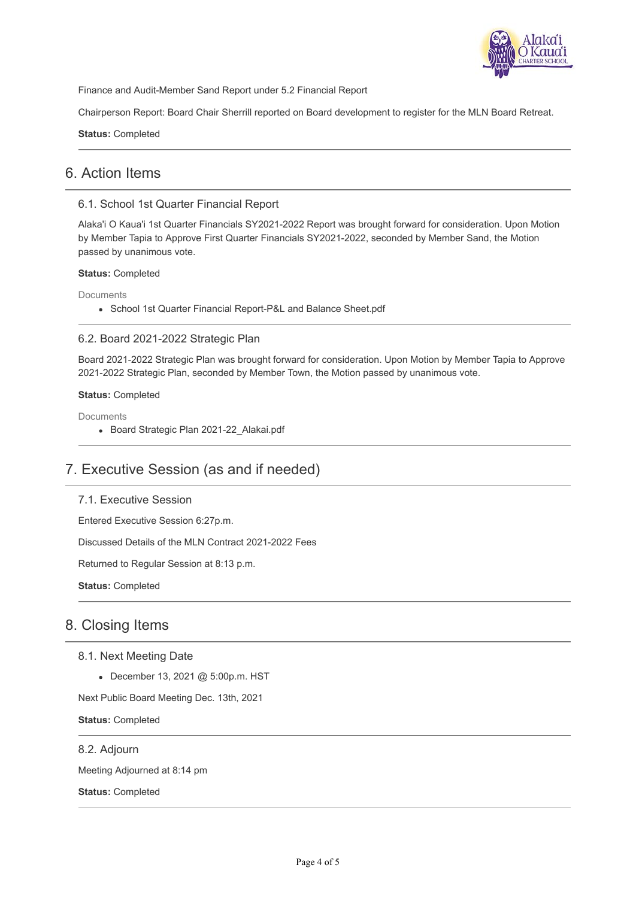

Finance and Audit-Member Sand Report under 5.2 Financial Report

Chairperson Report: Board Chair Sherrill reported on Board development to register for the MLN Board Retreat.

**Status:** Completed

# 6. Action Items

### 6.1. School 1st Quarter Financial Report

Alaka'i O Kaua'i 1st Quarter Financials SY2021-2022 Report was brought forward for consideration. Upon Motion by Member Tapia to Approve First Quarter Financials SY2021-2022, seconded by Member Sand, the Motion passed by unanimous vote.

### **Status:** Completed

Documents

School 1st Quarter Financial Report-P&L and Balance Sheet.pdf

## 6.2. Board 2021-2022 Strategic Plan

Board 2021-2022 Strategic Plan was brought forward for consideration. Upon Motion by Member Tapia to Approve 2021-2022 Strategic Plan, seconded by Member Town, the Motion passed by unanimous vote.

### **Status:** Completed

**Documents** 

Board Strategic Plan 2021-22\_Alakai.pdf

# 7. Executive Session (as and if needed)

### 7.1. Executive Session

Entered Executive Session 6:27p.m.

Discussed Details of the MLN Contract 2021-2022 Fees

Returned to Regular Session at 8:13 p.m.

**Status:** Completed

# 8. Closing Items

### 8.1. Next Meeting Date

December 13, 2021 @ 5:00p.m. HST

Next Public Board Meeting Dec. 13th, 2021

**Status:** Completed

8.2. Adjourn

Meeting Adjourned at 8:14 pm

**Status:** Completed